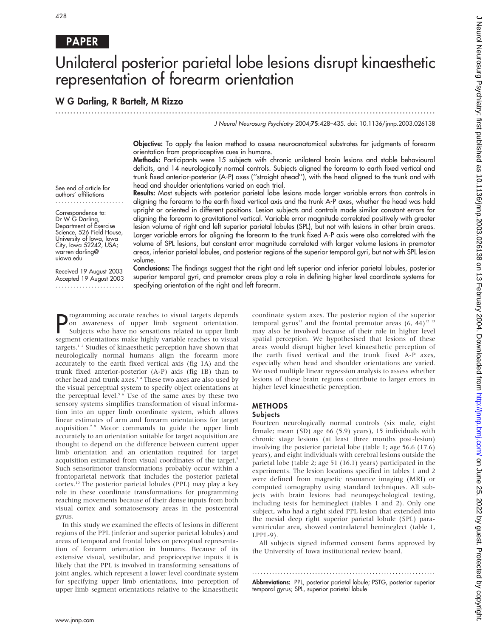## PAPER

# Unilateral posterior parietal lobe lesions disrupt kinaesthetic representation of forearm orientation

.............................................................................................................................. .

## W G Darling, R Bartelt, M Rizzo

J Neurol Neurosurg Psychiatry 2004;75:428–435. doi: 10.1136/jnnp.2003.026138

Objective: To apply the lesion method to assess neuroanatomical substrates for judgments of forearm orientation from proprioceptive cues in humans.

Methods: Participants were 15 subjects with chronic unilateral brain lesions and stable behavioural deficits, and 14 neurologically normal controls. Subjects aligned the forearm to earth fixed vertical and trunk fixed anterior-posterior (A-P) axes (''straight ahead''), with the head aligned to the trunk and with head and shoulder orientations varied on each trial.

See end of article for authors' affiliations .......................

Correspondence to: Dr W G Darling, Department of Exercise Science, 526 Field House, University of Iowa, Iowa City, Iowa 52242, USA; warren-darling@ uiowa.edu

Received 19 August 2003 Accepted 19 August 2003 .......................

Results: Most subjects with posterior parietal lobe lesions made larger variable errors than controls in aligning the forearm to the earth fixed vertical axis and the trunk A-P axes, whether the head was held upright or oriented in different positions. Lesion subjects and controls made similar constant errors for aligning the forearm to gravitational vertical. Variable error magnitude correlated positively with greater lesion volume of right and left superior parietal lobules (SPL), but not with lesions in other brain areas. Larger variable errors for aligning the forearm to the trunk fixed A-P axis were also correlated with the volume of SPL lesions, but constant error magnitude correlated with larger volume lesions in premotor areas, inferior parietal lobules, and posterior regions of the superior temporal gyri, but not with SPL lesion volume.

Conclusions: The findings suggest that the right and left superior and inferior parietal lobules, posterior superior temporal gyri, and premotor areas play a role in defining higher level coordinate systems for specifying orientation of the right and left forearm.

**P** rogramming accurate reaches to visual targets depends<br>on awareness of upper limb segment orientation.<br>Subjects who have no sensations related to upper limb<br>segment orientations make highly variable reaches to visual rogramming accurate reaches to visual targets depends on awareness of upper limb segment orientation. Subjects who have no sensations related to upper limb targets.<sup>12</sup> Studies of kinaesthetic perception have shown that neurologically normal humans align the forearm more accurately to the earth fixed vertical axis (fig 1A) and the trunk fixed anterior-posterior (A-P) axis (fig 1B) than to other head and trunk axes.<sup>34</sup> These two axes are also used by the visual perceptual system to specify object orientations at the perceptual level.<sup>5 6</sup> Use of the same axes by these two sensory systems simplifies transformation of visual information into an upper limb coordinate system, which allows linear estimates of arm and forearm orientations for target acquisition.7 8 Motor commands to guide the upper limb accurately to an orientation suitable for target acquisition are thought to depend on the difference between current upper limb orientation and an orientation required for target acquisition estimated from visual coordinates of the target.<sup>9</sup> Such sensorimotor transformations probably occur within a frontoparietal network that includes the posterior parietal cortex.<sup>10</sup> The posterior parietal lobules (PPL) may play a key role in these coordinate transformations for programming reaching movements because of their dense inputs from both visual cortex and somatosensory areas in the postcentral gyrus.

In this study we examined the effects of lesions in different regions of the PPL (inferior and superior parietal lobules) and areas of temporal and frontal lobes on perceptual representation of forearm orientation in humans. Because of its extensive visual, vestibular, and proprioceptive inputs it is likely that the PPL is involved in transforming sensations of joint angles, which represent a lower level coordinate system for specifying upper limb orientations, into perception of upper limb segment orientations relative to the kinaesthetic coordinate system axes. The posterior region of the superior temporal gyrus<sup>11</sup> and the frontal premotor areas  $(6, 44)^{12}$  <sup>13</sup> may also be involved because of their role in higher level spatial perception. We hypothesised that lesions of these areas would disrupt higher level kinaesthetic perception of the earth fixed vertical and the trunk fixed A-P axes, especially when head and shoulder orientations are varied. We used multiple linear regression analysis to assess whether lesions of these brain regions contribute to larger errors in higher level kinaesthetic perception.

#### **METHODS**

#### Subjects

Fourteen neurologically normal controls (six male, eight female; mean (SD) age 66 (5.9) years), 15 individuals with chronic stage lesions (at least three months post-lesion) involving the posterior parietal lobe (table 1; age 56.6 (17.6) years), and eight individuals with cerebral lesions outside the parietal lobe (table 2; age 51 (16.1) years) participated in the experiments. The lesion locations specified in tables 1 and 2 were defined from magnetic resonance imaging (MRI) or computed tomography using standard techniques. All subjects with brain lesions had neuropsychological testing, including tests for hemineglect (tables 1 and 2). Only one subject, who had a right sided PPL lesion that extended into the mesial deep right superior parietal lobule (SPL) paraventricular area, showed contralateral hemineglect (table 1, LPPL-9).

All subjects signed informed consent forms approved by the University of Iowa institutional review board.

Abbreviations: PPL, posterior parietal lobule; PSTG, posterior superior temporal gyrus; SPL, superior parietal lobule

............................................................... .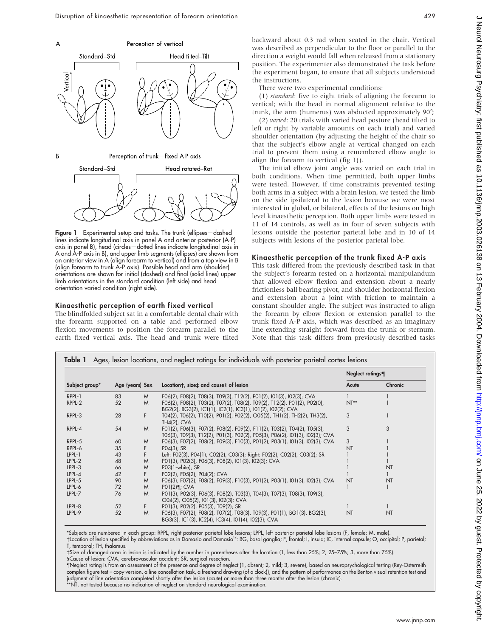

Figure 1 Experimental setup and tasks. The trunk (ellipses - dashed lines indicate longitudinal axis in panel A and anterior-posterior (A-P) axis in panel B), head (circles—dotted lines indicate longitudinal axis in A and A-P axis in B), and upper limb segments (ellipses) are shown from an anterior view in A (align forearm to vertical) and from a top view in B (align forearm to trunk A-P axis). Possible head and arm (shoulder) orientations are shown for initial (dashed) and final (solid lines) upper limb orientations in the standard condition (left side) and head orientation varied condition (right side).

#### Kinaesthetic perception of earth fixed vertical

The blindfolded subject sat in a comfortable dental chair with the forearm supported on a table and performed elbow flexion movements to position the forearm parallel to the earth fixed vertical axis. The head and trunk were tilted backward about 0.3 rad when seated in the chair. Vertical was described as perpendicular to the floor or parallel to the direction a weight would fall when released from a stationary position. The experimenter also demonstrated the task before the experiment began, to ensure that all subjects understood the instructions.

There were two experimental conditions:

(1) standard: five to eight trials of aligning the forearm to vertical; with the head in normal alignment relative to the trunk, the arm (humerus) was abducted approximately 90˚;

(2) varied: 20 trials with varied head posture (head tilted to left or right by variable amounts on each trial) and varied shoulder orientation (by adjusting the height of the chair so that the subject's elbow angle at vertical changed on each trial to prevent them using a remembered elbow angle to align the forearm to vertical (fig 1)).

The initial elbow joint angle was varied on each trial in both conditions. When time permitted, both upper limbs were tested. However, if time constraints prevented testing both arms in a subject with a brain lesion, we tested the limb on the side ipsilateral to the lesion because we were most interested in global, or bilateral, effects of the lesions on high level kinaesthetic perception. Both upper limbs were tested in 11 of 14 controls, as well as in four of seven subjects with lesions outside the posterior parietal lobe and in 10 of 14 subjects with lesions of the posterior parietal lobe.

#### Kinaesthetic perception of the trunk fixed A-P axis

This task differed from the previously described task in that the subject's forearm rested on a horizontal manipulandum that allowed elbow flexion and extension about a nearly frictionless ball bearing pivot, and shoulder horizontal flexion and extension about a joint with friction to maintain a constant shoulder angle. The subject was instructed to align the forearm by elbow flexion or extension parallel to the trunk fixed A-P axis, which was described as an imaginary line extending straight forward from the trunk or sternum. Note that this task differs from previously described tasks

|                |                 |    |                                                                                                                                                        | Neglect ratings¶ |         |
|----------------|-----------------|----|--------------------------------------------------------------------------------------------------------------------------------------------------------|------------------|---------|
| Subject group* | Age (years) Sex |    | Locationt, sizet and causes of lesion                                                                                                                  | Acute            | Chronic |
| RPPL-1         | 83              | M  | F06(2), F08(2), T08(3), T09(3), T12(2), P01(2), I01(3), I02(3); CVA                                                                                    |                  |         |
| RPPL-2         | 52              | M  | F06(2), F08(2), T03(2), T07(2), T08(2), T09(2), T12(2), P01(2), P02(0),<br>BG2(2), BG3(2), IC1(1), IC2(1), IC3(1), I01(2), I02(2); CVA                 | $NT**$           |         |
| RPPL-3         | 28              | F  | T04(2), T06(2), T10(2), P01(2), P02(2), O05(2), TH1(2), TH2(2), TH3(2),<br>TH4(2); CVA                                                                 | 3                |         |
| RPPL-4         | 54              | M  | F01(2), F06(3), F07(2), F08(2), F09(2), F11(2), T03(2), T04(2), T05(3),<br>T06(3), T09(3), T12(2), P01(3), P02(2), P05(3), P06(2), I01(3), I02(3); CVA | 3                | 3       |
| RPPL-5         | 60              | M  | F06(3), F07(2), F08(2), F09(3), F10(3), P01(2), P03(1), I01(3), I02(3); CVA                                                                            | 3                |         |
| RPPL-6         | 35              | F  | $PO4(3)$ ; SR                                                                                                                                          | NT               |         |
| $LPPL-1$       | 43              | F  | Left: F02(3), P04(1), C02(2), C03(3); Right: F02(2), C02(2), C03(2); SR                                                                                |                  |         |
| LPPL-2         | 48              | M  | P01(3), P02(3), F06(3), F08(2), I01(3), I02(3); CVA                                                                                                    |                  |         |
| LPPL-3         | 66              | M  | PO3(1-white); SR                                                                                                                                       |                  | NT      |
| LPPL-4         | 42              | F  | F02(2), F05(2), P04(2); CVA                                                                                                                            |                  |         |
| $LPPL-5$       | 90              | M  | F06(3), F07(2), F08(2), F09(3), F10(3), P01(2), P03(1), I01(3), I02(3); CVA                                                                            | <b>NT</b>        | NT      |
| LPPL-6         | 72              | M  | P01(2)¶; CVA                                                                                                                                           |                  |         |
| LPPL-7         | 76              | M  | P01(3), P02(3), F06(3), F08(2), T03(3), T04(3), T07(3), T08(3), T09(3),<br>O04(2), O05(2), I01(3), I02(3); CVA                                         |                  |         |
| LPPL-8         | 52              | F. | P01(3), P02(2), P05(3), T09(2); SR                                                                                                                     |                  |         |
| LPPL-9         | 52              | M  | F06(3), F07(2), F08(2), T07(2), T08(3), T09(3), P01(1), BG1(3), BG2(3),<br>BG3(3), IC1(3), IC2(4), IC3(4), I01(4), I02(3); CVA                         | NT               | NT      |

\*Subjects are numbered in each group: RPPL, right posterior parietal lobe lesions; LPPL, left posterior parietal lobe lesions (F, female; M, male). Location of lesion specified by abbreviations as in Damasio and Damasio14: BG, basal ganglia; F, frontal; I, insula; IC, internal capsule; O, occipital; P, parietal;

T, temporal; TH, thalamus.

`Size of damaged area in lesion is indicated by the number in parentheses after the location (1, less than 25%; 2, 25–75%; 3, more than 75%). 1Cause of lesion: CVA, cerebrovascular accident; SR, surgical resection.

-Neglect rating is from an assessment of the presence and degree of neglect (1, absent; 2, mild; 3, severe), based on neuropsychological testing (Rey-Osterreith complex figure test – copy version, a line cancellation task, a freehand drawing (of a clock)), and the pattern of performance on the Benton visual retention test and judgment of line orientation completed shortly after the lesion (acute) or more than three months after the lesion (chronic).<br>\*\*NT, not tested because no indication of neglect on standard neurological examination.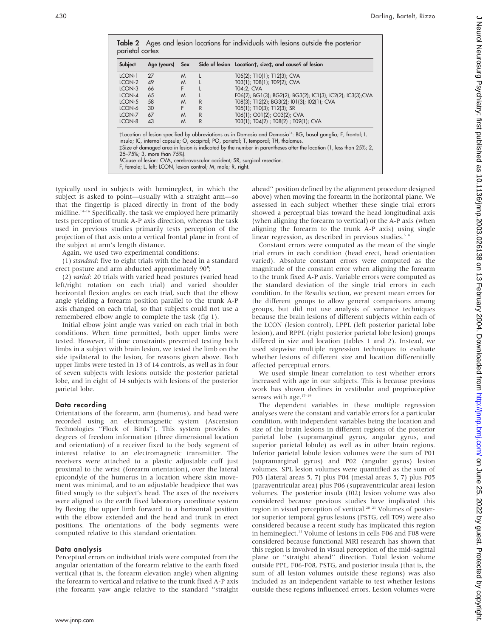|    | Sex |              | Side of lesion Locationt, sizet, and causes of lesion       |
|----|-----|--------------|-------------------------------------------------------------|
| 27 | M   |              | T05(2); T10(1); T12(3); CVA                                 |
| 49 | M   |              | T03(1); T08(1); T09(2); CVA                                 |
| 66 | F   |              | T04:2: CVA                                                  |
| 65 | M   |              | F06(2); BG1(3); BG2(2); BG3(2); IC1(3); IC2(2); IC3(3); CVA |
| 58 | M   | R            | T08(3); T12(2); BG3(2); I01(3); I02(1); CVA                 |
| 30 | F   | R            | T05(1); T10(3); T12(3); SR                                  |
| 67 | M   | $\mathsf{R}$ | T06(1); O01(2); O03(2); CVA                                 |
| 43 | M   | R            | T03(1); T04(2) ; T08(2) ; T09(1); CVA                       |
|    |     |              |                                                             |

typically used in subjects with hemineglect, in which the subject is asked to point—usually with a straight arm—so that the fingertip is placed directly in front of the body midline.<sup>14–16</sup> Specifically, the task we employed here primarily tests perception of trunk A-P axis direction, whereas the task used in previous studies primarily tests perception of the projection of that axis onto a vertical frontal plane in front of the subject at arm's length distance.

Again, we used two experimental conditions:

(1) standard: five to eight trials with the head in a standard erect posture and arm abducted approximately 90˚;

(2) varied: 20 trials with varied head postures (varied head left/right rotation on each trial) and varied shoulder horizontal flexion angles on each trial, such that the elbow angle yielding a forearm position parallel to the trunk A-P axis changed on each trial, so that subjects could not use a remembered elbow angle to complete the task (fig 1).

Initial elbow joint angle was varied on each trial in both conditions. When time permitted, both upper limbs were tested. However, if time constraints prevented testing both limbs in a subject with brain lesion, we tested the limb on the side ipsilateral to the lesion, for reasons given above. Both upper limbs were tested in 13 of 14 controls, as well as in four of seven subjects with lesions outside the posterior parietal lobe, and in eight of 14 subjects with lesions of the posterior parietal lobe.

#### Data recording

Orientations of the forearm, arm (humerus), and head were recorded using an electromagnetic system (Ascension Technologies ''Flock of Birds''). This system provides 6 degrees of freedom information (three dimensional location and orientation) of a receiver fixed to the body segment of interest relative to an electromagnetic transmitter. The receivers were attached to a plastic adjustable cuff just proximal to the wrist (forearm orientation), over the lateral epicondyle of the humerus in a location where skin movement was minimal, and to an adjustable headpiece that was fitted snugly to the subject's head. The axes of the receivers were aligned to the earth fixed laboratory coordinate system by flexing the upper limb forward to a horizontal position with the elbow extended and the head and trunk in erect positions. The orientations of the body segments were computed relative to this standard orientation.

#### Data analysis

Perceptual errors on individual trials were computed from the angular orientation of the forearm relative to the earth fixed vertical (that is, the forearm elevation angle) when aligning the forearm to vertical and relative to the trunk fixed A-P axis (the forearm yaw angle relative to the standard ''straight ahead'' position defined by the alignment procedure designed above) when moving the forearm in the horizontal plane. We assessed in each subject whether these single trial errors showed a perceptual bias toward the head longitudinal axis (when aligning the forearm to vertical) or the A-P axis (when aligning the forearm to the trunk A-P axis) using single linear regression, as described in previous studies.<sup>34</sup>

Constant errors were computed as the mean of the single trial errors in each condition (head erect, head orientation varied). Absolute constant errors were computed as the magnitude of the constant error when aligning the forearm to the trunk fixed A-P axis. Variable errors were computed as the standard deviation of the single trial errors in each condition. In the Results section, we present mean errors for the different groups to allow general comparisons among groups, but did not use analysis of variance techniques because the brain lesions of different subjects within each of the LCON (lesion control), LPPL (left posterior parietal lobe lesion), and RPPL (right posterior parietal lobe lesion) groups differed in size and location (tables 1 and 2). Instead, we used stepwise multiple regression techniques to evaluate whether lesions of different size and location differentially affected perceptual errors.

We used simple linear correlation to test whether errors increased with age in our subjects. This is because previous work has shown declines in vestibular and proprioceptive senses with age.<sup>17-19</sup>

The dependent variables in these multiple regression analyses were the constant and variable errors for a particular condition, with independent variables being the location and size of the brain lesions in different regions of the posterior parietal lobe (supramarginal gyrus, angular gyrus, and superior parietal lobule) as well as in other brain regions. Inferior parietal lobule lesion volumes were the sum of P01 (supramarginal gyrus) and P02 (angular gyrus) lesion volumes. SPL lesion volumes were quantified as the sum of P03 (lateral areas 5, 7) plus P04 (mesial areas 5, 7) plus P05 (paraventricular area) plus P06 (supraventricular area) lesion volumes. The posterior insula (I02) lesion volume was also considered because previous studies have implicated this region in visual perception of vertical.<sup>20 21</sup> Volumes of posterior superior temporal gyrus lesions (PSTG, cell T09) were also considered because a recent study has implicated this region in hemineglect.<sup>11</sup> Volume of lesions in cells F06 and F08 were considered because functional MRI research has shown that this region is involved in visual perception of the mid-sagittal plane or ''straight ahead'' direction. Total lesion volume outside PPL, F06-F08, PSTG, and posterior insula (that is, the sum of all lesion volumes outside these regions) was also included as an independent variable to test whether lesions outside these regions influenced errors. Lesion volumes were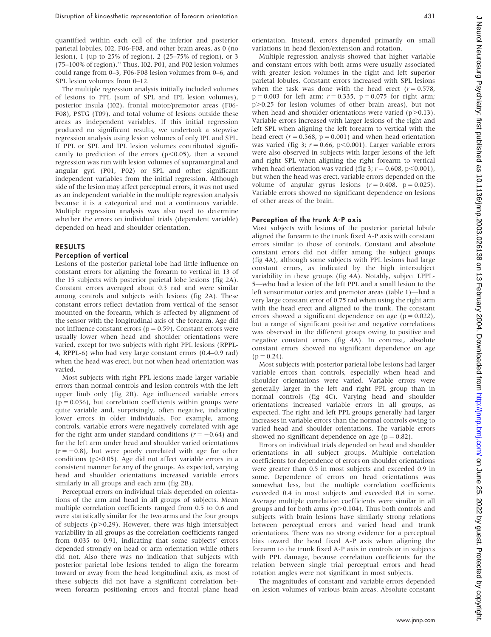quantified within each cell of the inferior and posterior parietal lobules, I02, F06-F08, and other brain areas, as 0 (no lesion), 1 (up to 25% of region), 2 (25–75% of region), or 3  $(75–100\%$  of region).<sup>22</sup> Thus, I02, P01, and P02 lesion volumes could range from 0–3, F06-F08 lesion volumes from 0–6, and SPL lesion volumes from 0–12.

The multiple regression analysis initially included volumes of lesions to PPL (sum of SPL and IPL lesion volumes), posterior insula (I02), frontal motor/premotor areas (F06- F08), PSTG (T09), and total volume of lesions outside these areas as independent variables. If this initial regression produced no significant results, we undertook a stepwise regression analysis using lesion volumes of only IPL and SPL. If PPL or SPL and IPL lesion volumes contributed significantly to prediction of the errors  $(p<0.05)$ , then a second regression was run with lesion volumes of supramarginal and angular gyri (P01, P02) or SPL and other significant independent variables from the initial regression. Although side of the lesion may affect perceptual errors, it was not used as an independent variable in the multiple regression analysis because it is a categorical and not a continuous variable. Multiple regression analysis was also used to determine whether the errors on individual trials (dependent variable) depended on head and shoulder orientation.

#### RESULTS

### Perception of vertical

Lesions of the posterior parietal lobe had little influence on constant errors for aligning the forearm to vertical in 13 of the 15 subjects with posterior parietal lobe lesions (fig 2A). Constant errors averaged about 0.3 rad and were similar among controls and subjects with lesions (fig 2A). These constant errors reflect deviation from vertical of the sensor mounted on the forearm, which is affected by alignment of the sensor with the longitudinal axis of the forearm. Age did not influence constant errors ( $p = 0.59$ ). Constant errors were usually lower when head and shoulder orientations were varied, except for two subjects with right PPL lesions (RPPL-4, RPPL-6) who had very large constant errors (0.4–0.9 rad) when the head was erect, but not when head orientation was varied.

Most subjects with right PPL lesions made larger variable errors than normal controls and lesion controls with the left upper limb only (fig 2B). Age influenced variable errors  $(p = 0.036)$ , but correlation coefficients within groups were quite variable and, surprisingly, often negative, indicating lower errors in older individuals. For example, among controls, variable errors were negatively correlated with age for the right arm under standard conditions ( $r = -0.64$ ) and for the left arm under head and shoulder varied orientations  $(r = -0.8)$ , but were poorly correlated with age for other conditions ( $p$  $>$ 0.05). Age did not affect variable errors in a consistent manner for any of the groups. As expected, varying head and shoulder orientations increased variable errors similarly in all groups and each arm (fig 2B).

Perceptual errors on individual trials depended on orientations of the arm and head in all groups of subjects. Mean multiple correlation coefficients ranged from 0.5 to 0.6 and were statistically similar for the two arms and the four groups of subjects ( $p>0.29$ ). However, there was high intersubject variability in all groups as the correlation coefficients ranged from 0.035 to 0.91, indicating that some subjects' errors depended strongly on head or arm orientation while others did not. Also there was no indication that subjects with posterior parietal lobe lesions tended to align the forearm toward or away from the head longitudinal axis, as most of these subjects did not have a significant correlation between forearm positioning errors and frontal plane head orientation. Instead, errors depended primarily on small variations in head flexion/extension and rotation.

Multiple regression analysis showed that higher variable and constant errors with both arms were usually associated with greater lesion volumes in the right and left superior parietal lobules. Constant errors increased with SPL lesions when the task was done with the head erect ( $r = 0.578$ ,  $p = 0.003$  for left arm;  $r = 0.335$ ,  $p = 0.075$  for right arm; p.0.25 for lesion volumes of other brain areas), but not when head and shoulder orientations were varied  $(p>0.13)$ . Variable errors increased with larger lesions of the right and left SPL when aligning the left forearm to vertical with the head erect ( $r = 0.568$ ,  $p = 0.001$ ) and when head orientation was varied (fig 3;  $r = 0.66$ , p $\leq 0.001$ ). Larger variable errors were also observed in subjects with larger lesions of the left and right SPL when aligning the right forearm to vertical when head orientation was varied (fig 3;  $r = 0.608$ , p $\leq 0.001$ ), but when the head was erect, variable errors depended on the volume of angular gyrus lesions  $(r = 0.408, p = 0.025)$ . Variable errors showed no significant dependence on lesions of other areas of the brain.

#### Perception of the trunk A-P axis

Most subjects with lesions of the posterior parietal lobule aligned the forearm to the trunk fixed A-P axis with constant errors similar to those of controls. Constant and absolute constant errors did not differ among the subject groups (fig 4A), although some subjects with PPL lesions had large constant errors, as indicated by the high intersubject variability in these groups (fig 4A). Notably, subject LPPL-5—who had a lesion of the left PPL and a small lesion to the left sensorimotor cortex and premotor areas (table 1)—had a very large constant error of 0.75 rad when using the right arm with the head erect and aligned to the trunk. The constant errors showed a significant dependence on age ( $p = 0.022$ ), but a range of significant positive and negative correlations was observed in the different groups owing to positive and negative constant errors (fig 4A). In contrast, absolute constant errors showed no significant dependence on age  $(p = 0.24)$ .

Most subjects with posterior parietal lobe lesions had larger variable errors than controls, especially when head and shoulder orientations were varied. Variable errors were generally larger in the left and right PPL group than in normal controls (fig 4C). Varying head and shoulder orientations increased variable errors in all groups, as expected. The right and left PPL groups generally had larger increases in variable errors than the normal controls owing to varied head and shoulder orientations. The variable errors showed no significant dependence on age ( $p = 0.82$ ).

Errors on individual trials depended on head and shoulder orientations in all subject groups. Multiple correlation coefficients for dependence of errors on shoulder orientations were greater than 0.5 in most subjects and exceeded 0.9 in some. Dependence of errors on head orientations was somewhat less, but the multiple correlation coefficients exceeded 0.4 in most subjects and exceeded 0.8 in some. Average multiple correlation coefficients were similar in all groups and for both arms ( $p > 0.104$ ). Thus both controls and subjects with brain lesions have similarly strong relations between perceptual errors and varied head and trunk orientations. There was no strong evidence for a perceptual bias toward the head fixed A-P axis when aligning the forearm to the trunk fixed A-P axis in controls or in subjects with PPL damage, because correlation coefficients for the relation between single trial perceptual errors and head rotation angles were not significant in most subjects.

The magnitudes of constant and variable errors depended on lesion volumes of various brain areas. Absolute constant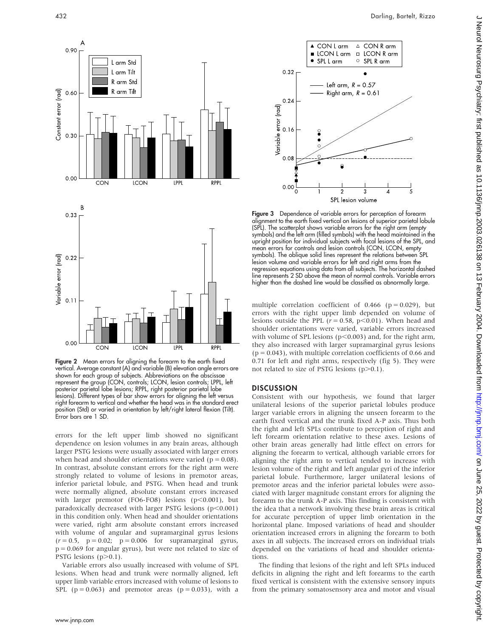

Figure 2 Mean errors for aligning the forearm to the earth fixed vertical. Average constant (A) and variable (B) elevation angle errors are shown for each group of subjects. Abbreviations on the abscissae represent the group (CON, controls; LCON, lesion controls; LPPL, left posterior parietal lobe lesions; RPPL, right posterior parietal lobe lesions). Different types of bar show errors for aligning the left versus right forearm to vertical and whether the head was in the standard erect position (Std) or varied in orientation by left/right lateral flexion (Tilt). Error bars are 1 SD.

errors for the left upper limb showed no significant dependence on lesion volumes in any brain areas, although larger PSTG lesions were usually associated with larger errors when head and shoulder orientations were varied ( $p = 0.08$ ). In contrast, absolute constant errors for the right arm were strongly related to volume of lesions in premotor areas, inferior parietal lobule, and PSTG. When head and trunk were normally aligned, absolute constant errors increased with larger premotor (FO6-FO8) lesions ( $p<0.001$ ), but paradoxically decreased with larger PSTG lesions  $(p<0.001)$ in this condition only. When head and shoulder orientations were varied, right arm absolute constant errors increased with volume of angular and supramarginal gyrus lesions  $(r = 0.5, p = 0.02; p = 0.006$  for supramarginal gyrus,  $p = 0.069$  for angular gyrus), but were not related to size of PSTG lesions  $(p>0.1)$ .

Variable errors also usually increased with volume of SPL lesions. When head and trunk were normally aligned, left upper limb variable errors increased with volume of lesions to SPL ( $p = 0.063$ ) and premotor areas ( $p = 0.033$ ), with a



Figure 3 Dependence of variable errors for perception of forearm alignment to the earth fixed vertical on lesions of superior parietal lobule (SPL). The scatterplot shows variable errors for the right arm (empty symbols) and the left arm (filled symbols) with the head maintained in the upright position for individual subjects with focal lesions of the SPL, and mean errors for controls and lesion controls (CON, LCON, empty symbols). The oblique solid lines represent the relations between SPL lesion volume and variable errors for left and right arms from the regression equations using data from all subjects. The horizontal dashed line represents 2 SD above the mean of normal controls. Variable errors higher than the dashed line would be classified as abnormally large.

 $\overline{\phantom{a}}$ 

3 SPL lesion volume

multiple correlation coefficient of  $0.466$  (p = 0.029), but errors with the right upper limb depended on volume of lesions outside the PPL ( $r = 0.58$ ,  $p < 0.01$ ). When head and shoulder orientations were varied, variable errors increased with volume of SPL lesions ( $p$ <0.003) and, for the right arm, they also increased with larger supramarginal gyrus lesions  $(p = 0.043)$ , with multiple correlation coefficients of 0.66 and 0.71 for left and right arms, respectively (fig 5). They were not related to size of PSTG lesions  $(p>0.1)$ .

#### **DISCUSSION**

Variable error (rad)

 $0.00$ 

Consistent with our hypothesis, we found that larger unilateral lesions of the superior parietal lobules produce larger variable errors in aligning the unseen forearm to the earth fixed vertical and the trunk fixed A-P axis. Thus both the right and left SPLs contribute to perception of right and left forearm orientation relative to these axes. Lesions of other brain areas generally had little effect on errors for aligning the forearm to vertical, although variable errors for aligning the right arm to vertical tended to increase with lesion volume of the right and left angular gyri of the inferior parietal lobule. Furthermore, larger unilateral lesions of premotor areas and the inferior parietal lobules were associated with larger magnitude constant errors for aligning the forearm to the trunk A-P axis. This finding is consistent with the idea that a network involving these brain areas is critical for accurate perception of upper limb orientation in the horizontal plane. Imposed variations of head and shoulder orientation increased errors in aligning the forearm to both axes in all subjects. The increased errors on individual trials depended on the variations of head and shoulder orientations.

The finding that lesions of the right and left SPLs induced deficits in aligning the right and left forearms to the earth fixed vertical is consistent with the extensive sensory inputs from the primary somatosensory area and motor and visual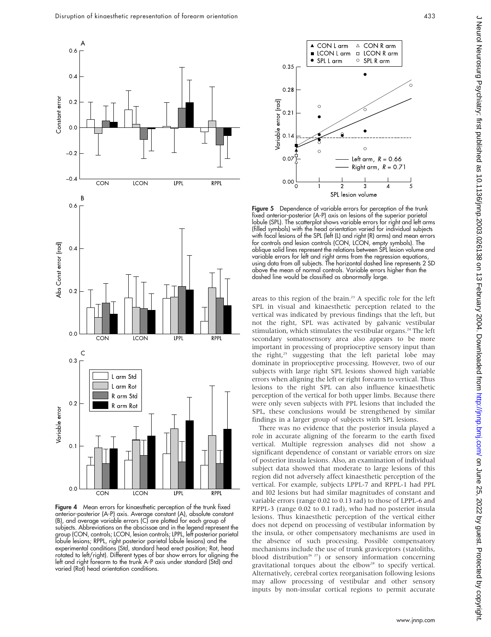

Figure 4 Mean errors for kinaesthetic perception of the trunk fixed anterior-posterior (A-P) axis. Average constant (A), absolute constant (B), and average variable errors (C) are plotted for each group of subjects. Abbreviations on the abscissae and in the legend represent the group (CON, controls; LCON, lesion controls; LPPL, left posterior parietal lobule lesions; RPPL, right posterior parietal lobule lesions) and the experimental conditions (Std, standard head erect position; Rot, head rotated to left/right). Different types of bar show errors for aligning the left and right forearm to the trunk A-P axis under standard (Std) and varied (Rot) head orientation conditions.



**Figure 5** Dependence of variable errors for perception of the trunk fixed anterior-posterior (A-P) axis on lesions of the superior parietal lobule (SPL). The scatterplot shows variable errors for right and left arms (filled symbols) with the head orientation varied for individual subjects with focal lesions of the SPL (left (L) and right (R) arms) and mean errors for controls and lesion controls (CON, LCON, empty symbols). The oblique solid lines represent the relations between SPL lesion volume and variable errors for left and right arms from the regression equations, using data from all subjects. The horizontal dashed line represents 2 SD above the mean of normal controls. Variable errors higher than the dashed line would be classified as abnormally large.

areas to this region of the brain.<sup>23</sup> A specific role for the left SPL in visual and kinaesthetic perception related to the vertical was indicated by previous findings that the left, but not the right, SPL was activated by galvanic vestibular stimulation, which stimulates the vestibular organs.<sup>24</sup> The left secondary somatosensory area also appears to be more important in processing of proprioceptive sensory input than the right,<sup>25</sup> suggesting that the left parietal lobe may dominate in proprioceptive processing. However, two of our subjects with large right SPL lesions showed high variable errors when aligning the left or right forearm to vertical. Thus lesions to the right SPL can also influence kinaesthetic perception of the vertical for both upper limbs. Because there were only seven subjects with PPL lesions that included the SPL, these conclusions would be strengthened by similar findings in a larger group of subjects with SPL lesions.

There was no evidence that the posterior insula played a role in accurate aligning of the forearm to the earth fixed vertical. Multiple regression analyses did not show a significant dependence of constant or variable errors on size of posterior insula lesions. Also, an examination of individual subject data showed that moderate to large lesions of this region did not adversely affect kinaesthetic perception of the vertical. For example, subjects LPPL-7 and RPPL-1 had PPL and I02 lesions but had similar magnitudes of constant and variable errors (range 0.02 to 0.13 rad) to those of LPPL-6 and RPPL-3 (range 0.02 to 0.1 rad), who had no posterior insula lesions. Thus kinaesthetic perception of the vertical either does not depend on processing of vestibular information by the insula, or other compensatory mechanisms are used in the absence of such processing. Possible compensatory mechanisms include the use of trunk graviceptors (statoliths, blood distribution<sup>26 27</sup>) or sensory information concerning gravitational torques about the elbow<sup>28</sup> to specify vertical. Alternatively, cerebral cortex reorganisation following lesions may allow processing of vestibular and other sensory inputs by non-insular cortical regions to permit accurate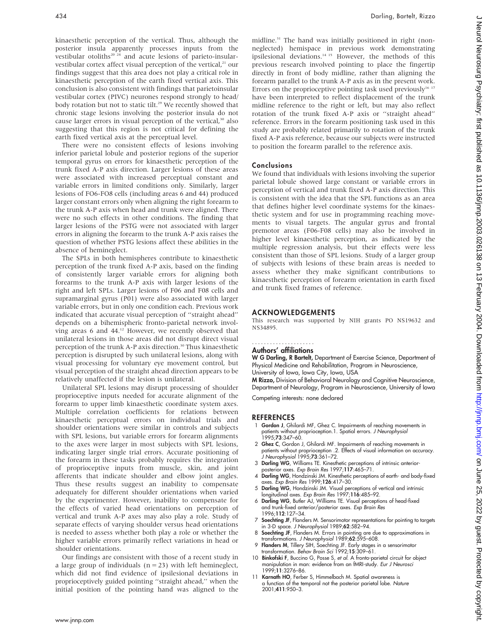kinaesthetic perception of the vertical. Thus, although the posterior insula apparently processes inputs from the vestibular otoliths<sup>20 24</sup> and acute lesions of parieto-insularvestibular cortex affect visual perception of the vertical,<sup>21</sup> our findings suggest that this area does not play a critical role in kinaesthetic perception of the earth fixed vertical axis. This conclusion is also consistent with findings that parietoinsular vestibular cortex (PIVC) neurones respond strongly to head/ body rotation but not to static tilt.<sup>29</sup> We recently showed that chronic stage lesions involving the posterior insula do not cause larger errors in visual perception of the vertical,<sup>30</sup> also suggesting that this region is not critical for defining the earth fixed vertical axis at the perceptual level.

There were no consistent effects of lesions involving inferior parietal lobule and posterior regions of the superior temporal gyrus on errors for kinaesthetic perception of the trunk fixed A-P axis direction. Larger lesions of these areas were associated with increased perceptual constant and variable errors in limited conditions only. Similarly, larger lesions of FO6-FO8 cells (including areas 6 and 44) produced larger constant errors only when aligning the right forearm to the trunk A-P axis when head and trunk were aligned. There were no such effects in other conditions. The finding that larger lesions of the PSTG were not associated with larger errors in aligning the forearm to the trunk A-P axis raises the question of whether PSTG lesions affect these abilities in the absence of hemineglect.

The SPLs in both hemispheres contribute to kinaesthetic perception of the trunk fixed A-P axis, based on the finding of consistently larger variable errors for aligning both forearms to the trunk A-P axis with larger lesions of the right and left SPLs. Larger lesions of F06 and F08 cells and supramarginal gyrus (P01) were also associated with larger variable errors, but in only one condition each. Previous work indicated that accurate visual perception of ''straight ahead'' depends on a bihemispheric fronto-parietal network involving areas 6 and 44.<sup>12</sup> However, we recently observed that unilateral lesions in those areas did not disrupt direct visual perception of the trunk A-P axis direction.<sup>30</sup> Thus kinaesthetic perception is disrupted by such unilateral lesions, along with visual processing for voluntary eye movement control, but visual perception of the straight ahead direction appears to be relatively unaffected if the lesion is unilateral.

Unilateral SPL lesions may disrupt processing of shoulder proprioceptive inputs needed for accurate alignment of the forearm to upper limb kinaesthetic coordinate system axes. Multiple correlation coefficients for relations between kinaesthetic perceptual errors on individual trials and shoulder orientations were similar in controls and subjects with SPL lesions, but variable errors for forearm alignments to the axes were larger in most subjects with SPL lesions, indicating larger single trial errors. Accurate positioning of the forearm in these tasks probably requires the integration of proprioceptive inputs from muscle, skin, and joint afferents that indicate shoulder and elbow joint angles. Thus these results suggest an inability to compensate adequately for different shoulder orientations when varied by the experimenter. However, inability to compensate for the effects of varied head orientations on perception of vertical and trunk A-P axes may also play a role. Study of separate effects of varying shoulder versus head orientations is needed to assess whether both play a role or whether the higher variable errors primarily reflect variations in head or shoulder orientations.

Our findings are consistent with those of a recent study in a large group of individuals ( $n = 23$ ) with left hemineglect, which did not find evidence of ipsilesional deviations in proprioceptively guided pointing ''straight ahead,'' when the initial position of the pointing hand was aligned to the midline.31 The hand was initially positioned in right (nonneglected) hemispace in previous work demonstrating ipsilesional deviations.14 15 However, the methods of this previous research involved pointing to place the fingertip directly in front of body midline, rather than aligning the forearm parallel to the trunk A-P axis as in the present work. Errors on the proprioceptive pointing task used previously<sup>16</sup>  $17$ have been interpreted to reflect displacement of the trunk midline reference to the right or left, but may also reflect rotation of the trunk fixed A-P axis or ''straight ahead'' reference. Errors in the forearm positioning task used in this study are probably related primarily to rotation of the trunk fixed A-P axis reference, because our subjects were instructed to position the forearm parallel to the reference axis.

#### Conclusions

We found that individuals with lesions involving the superior parietal lobule showed large constant or variable errors in perception of vertical and trunk fixed A-P axis direction. This is consistent with the idea that the SPL functions as an area that defines higher level coordinate systems for the kinaesthetic system and for use in programming reaching movements to visual targets. The angular gyrus and frontal premotor areas (F06-F08 cells) may also be involved in higher level kinaesthetic perception, as indicated by the multiple regression analysis, but their effects were less consistent than those of SPL lesions. Study of a larger group of subjects with lesions of these brain areas is needed to assess whether they make significant contributions to kinaesthetic perception of forearm orientation in earth fixed and trunk fixed frames of reference.

#### ACKNOWLEDGEMENTS

This research was supported by NIH grants PO NS19632 and NS34895.

#### Authors' affiliations .....................

W G Darling, R Bartelt, Department of Exercise Science, Department of Physical Medicine and Rehabilitation, Program in Neuroscience,

University of Iowa, Iowa City, Iowa, USA M Rizzo, Division of Behavioral Neurology and Cognitive Neuroscience,

Department of Neurology, Program in Neuroscience, University of Iowa

Competing interests: none declared

#### REFERENCES

- 1 Gordon J, Ghilardi MF, Ghez C. Impairments of reaching movements in patients without proprioception.1. Spatial errors. J Neurophysiol 1995;73:347–60.
- 2 Ghez C, Gordon J, Ghilardi MF. Impairments of reaching movements in patients without proprioception .2. Effects of visual information on accuracy. J Neurophysiol 1995;73:361–72.
- 3 Darling WG, Williams TE. Kinesthetic perceptions of intrinsic anteriorposterior axes. Exp Brain Res 1997;117:465–71.
- 4 Darling WG, Hondzinski JM. Kinesthetic perceptions of earth- and body-fixed axes. Exp Brain Res 1999;126:417–30.
- 5 Darling WG, Hondzinski JM. Visual perceptions of vertical and intrinsic longitudinal axes. Exp Brain Res 1997;116:485-92.
- 6 Darling WG, Butler AJ, Williams TE. Visual perceptions of head-fixed and trunk-fixed anterior/posterior axes. Exp Brain Res 1996;112:127–34.
- 7 Soechting JF, Flanders M. Sensorimotor representations for pointing to targets in 3-D space. J Neurophysiol 1989;62:582–94.
- 8 Soechting JF, Flanders M. Errors in pointing are due to approximations in transformations. J Neurophysiol 1989;62:595–608.
- 9 Flanders M, Tillery SIH, Soechting JF. Early stages in a sensorimotor transformation. Behav Brain Sci 1992;15:309–61.
- 10 Binkofski F, Buccino G, Posse S, et al. A fronto-parietal circuit for object manipulation in man: evidence from an fMRI-study. Eur J Neurosci 1999;11:3276–86.
- 11 Karnath HO, Ferber S, Himmelbach M. Spatial awareness is a function of the temporal not the posterior parietal lobe. Nature 2001;411:950–3.